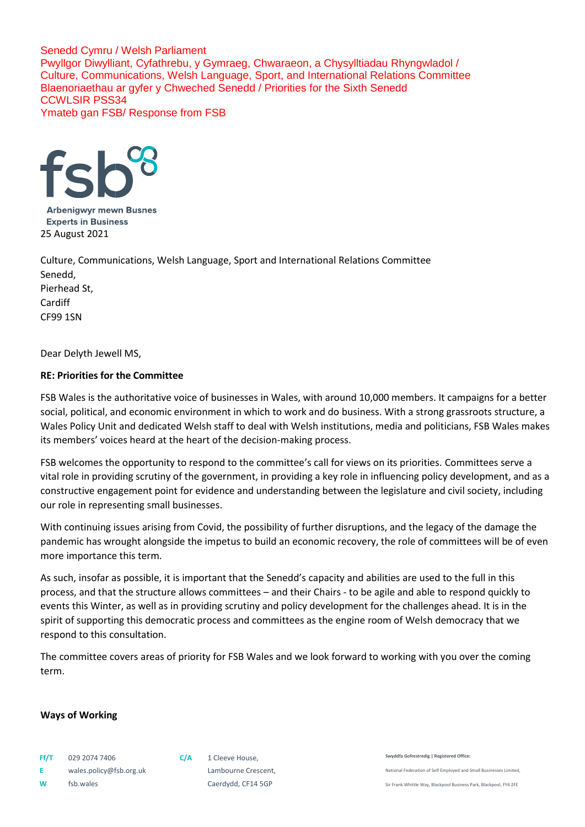

**Arbenigwyr mewn Busnes Experts in Business** 25 August 2021

Culture, Communications, Welsh Language, Sport and International Relations Committee Senedd, Pierhead St, Cardiff CF99 1SN

Dear Delyth Jewell MS,

## **RE: Priorities for the Committee**

FSB Wales is the authoritative voice of businesses in Wales, with around 10,000 members. It campaigns for a better social, political, and economic environment in which to work and do business. With a strong grassroots structure, a Wales Policy Unit and dedicated Welsh staff to deal with Welsh institutions, media and politicians, FSB Wales makes its members' voices heard at the heart of the decision-making process.

FSB welcomes the opportunity to respond to the committee's call for views on its priorities. Committees serve a vital role in providing scrutiny of the government, in providing a key role in influencing policy development, and as a constructive engagement point for evidence and understanding between the legislature and civil society, including our role in representing small businesses.

With continuing issues arising from Covid, the possibility of further disruptions, and the legacy of the damage the pandemic has wrought alongside the impetus to build an economic recovery, the role of committees will be of even more importance this term.

As such, insofar as possible, it is important that the Senedd's capacity and abilities are used to the full in this process, and that the structure allows committees – and their Chairs - to be agile and able to respond quickly to events this Winter, as well as in providing scrutiny and policy development for the challenges ahead. It is in the spirit of supporting this democratic process and committees as the engine room of Welsh democracy that we respond to this consultation.

The committee covers areas of priority for FSB Wales and we look forward to working with you over the coming term.

### **Ways of Working**

**E** wales.policy@fsb.org.uk Lambourne Crescent, **W** fsb.wales **Caerdydd**, CF14 5GP

**Swyddfa Gofrestredig | Registered Office:** 

National Federation of Self Employed and Small Businesses Limited,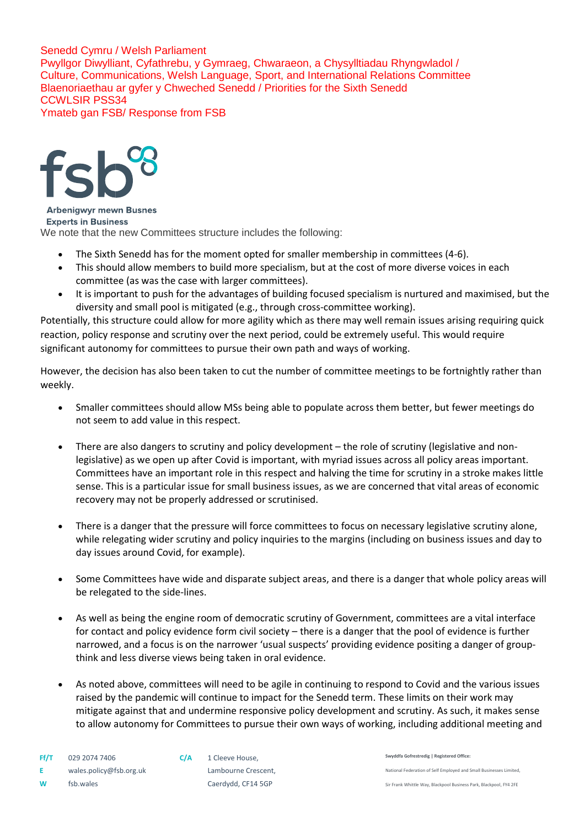

**Arbenigwyr mewn Busnes Experts in Business** We note that the new Committees structure includes the following:

- The Sixth Senedd has for the moment opted for smaller membership in committees (4-6).
- This should allow members to build more specialism, but at the cost of more diverse voices in each committee (as was the case with larger committees).
- It is important to push for the advantages of building focused specialism is nurtured and maximised, but the diversity and small pool is mitigated (e.g., through cross-committee working).

Potentially, this structure could allow for more agility which as there may well remain issues arising requiring quick reaction, policy response and scrutiny over the next period, could be extremely useful. This would require significant autonomy for committees to pursue their own path and ways of working.

However, the decision has also been taken to cut the number of committee meetings to be fortnightly rather than weekly.

- Smaller committees should allow MSs being able to populate across them better, but fewer meetings do not seem to add value in this respect.
- There are also dangers to scrutiny and policy development the role of scrutiny (legislative and nonlegislative) as we open up after Covid is important, with myriad issues across all policy areas important. Committees have an important role in this respect and halving the time for scrutiny in a stroke makes little sense. This is a particular issue for small business issues, as we are concerned that vital areas of economic recovery may not be properly addressed or scrutinised.
- There is a danger that the pressure will force committees to focus on necessary legislative scrutiny alone, while relegating wider scrutiny and policy inquiries to the margins (including on business issues and day to day issues around Covid, for example).
- Some Committees have wide and disparate subject areas, and there is a danger that whole policy areas will be relegated to the side-lines.
- As well as being the engine room of democratic scrutiny of Government, committees are a vital interface for contact and policy evidence form civil society – there is a danger that the pool of evidence is further narrowed, and a focus is on the narrower 'usual suspects' providing evidence positing a danger of groupthink and less diverse views being taken in oral evidence.
- As noted above, committees will need to be agile in continuing to respond to Covid and the various issues raised by the pandemic will continue to impact for the Senedd term. These limits on their work may mitigate against that and undermine responsive policy development and scrutiny. As such, it makes sense to allow autonomy for Committees to pursue their own ways of working, including additional meeting and

**Swyddfa Gofrestredig | Registered Office:**  National Federation of Self Employed and Small Businesses Limited, Sir Frank Whittle Way, Blackpool Business Park, Blackpool, FY4 2FE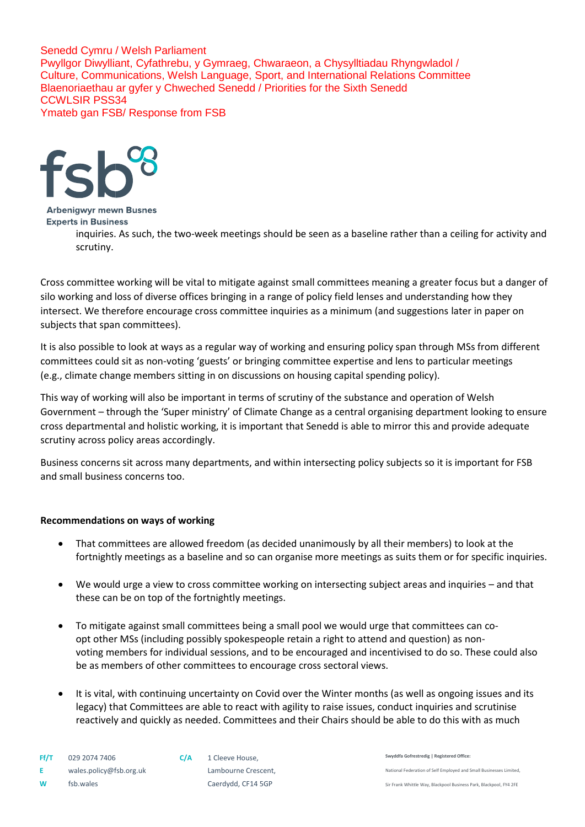

**Arbenigwyr mewn Busnes Experts in Business** 

inquiries. As such, the two-week meetings should be seen as a baseline rather than a ceiling for activity and scrutiny.

Cross committee working will be vital to mitigate against small committees meaning a greater focus but a danger of silo working and loss of diverse offices bringing in a range of policy field lenses and understanding how they intersect. We therefore encourage cross committee inquiries as a minimum (and suggestions later in paper on subjects that span committees).

It is also possible to look at ways as a regular way of working and ensuring policy span through MSs from different committees could sit as non-voting 'guests' or bringing committee expertise and lens to particular meetings (e.g., climate change members sitting in on discussions on housing capital spending policy).

This way of working will also be important in terms of scrutiny of the substance and operation of Welsh Government – through the 'Super ministry' of Climate Change as a central organising department looking to ensure cross departmental and holistic working, it is important that Senedd is able to mirror this and provide adequate scrutiny across policy areas accordingly.

Business concerns sit across many departments, and within intersecting policy subjects so it is important for FSB and small business concerns too.

# **Recommendations on ways of working**

- That committees are allowed freedom (as decided unanimously by all their members) to look at the fortnightly meetings as a baseline and so can organise more meetings as suits them or for specific inquiries.
- We would urge a view to cross committee working on intersecting subject areas and inquiries and that these can be on top of the fortnightly meetings.
- To mitigate against small committees being a small pool we would urge that committees can coopt other MSs (including possibly spokespeople retain a right to attend and question) as nonvoting members for individual sessions, and to be encouraged and incentivised to do so. These could also be as members of other committees to encourage cross sectoral views.
- It is vital, with continuing uncertainty on Covid over the Winter months (as well as ongoing issues and its legacy) that Committees are able to react with agility to raise issues, conduct inquiries and scrutinise reactively and quickly as needed. Committees and their Chairs should be able to do this with as much

**W** fsb.wales **Caerdydd**, CF14 5GP

**Swyddfa Gofrestredig | Registered Office:**  National Federation of Self Employed and Small Businesses Limited,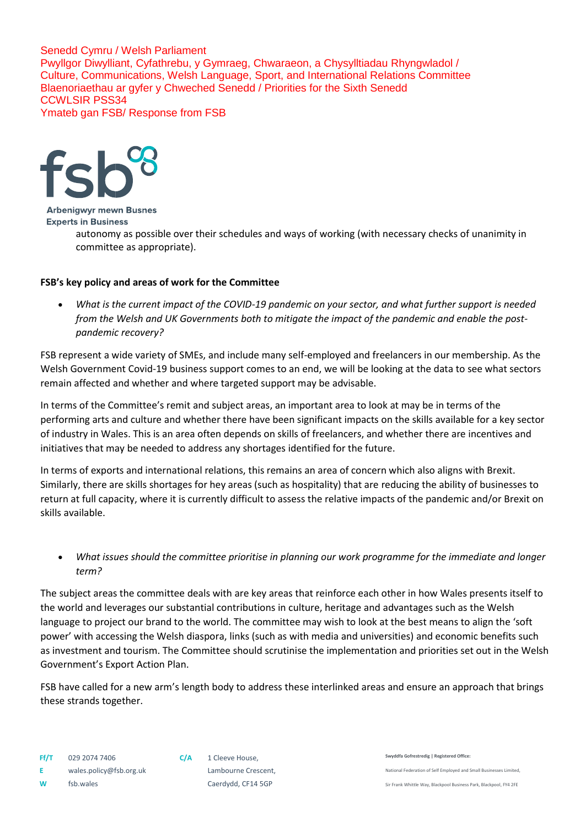

#### **Arbenigwyr mewn Busnes Experts in Business**

autonomy as possible over their schedules and ways of working (with necessary checks of unanimity in committee as appropriate).

# **FSB's key policy and areas of work for the Committee**

 *What is the current impact of the COVID-19 pandemic on your sector, and what further support is needed from the Welsh and UK Governments both to mitigate the impact of the pandemic and enable the postpandemic recovery?*

FSB represent a wide variety of SMEs, and include many self-employed and freelancers in our membership. As the Welsh Government Covid-19 business support comes to an end, we will be looking at the data to see what sectors remain affected and whether and where targeted support may be advisable.

In terms of the Committee's remit and subject areas, an important area to look at may be in terms of the performing arts and culture and whether there have been significant impacts on the skills available for a key sector of industry in Wales. This is an area often depends on skills of freelancers, and whether there are incentives and initiatives that may be needed to address any shortages identified for the future.

In terms of exports and international relations, this remains an area of concern which also aligns with Brexit. Similarly, there are skills shortages for hey areas (such as hospitality) that are reducing the ability of businesses to return at full capacity, where it is currently difficult to assess the relative impacts of the pandemic and/or Brexit on skills available.

 *What issues should the committee prioritise in planning our work programme for the immediate and longer term?* 

The subject areas the committee deals with are key areas that reinforce each other in how Wales presents itself to the world and leverages our substantial contributions in culture, heritage and advantages such as the Welsh language to project our brand to the world. The committee may wish to look at the best means to align the 'soft power' with accessing the Welsh diaspora, links (such as with media and universities) and economic benefits such as investment and tourism. The Committee should scrutinise the implementation and priorities set out in the Welsh Government's Export Action Plan.

FSB have called for a new arm's length body to address these interlinked areas and ensure an approach that brings these strands together.

**Swyddfa Gofrestredig | Registered Office:** 

National Federation of Self Employed and Small Businesses Limited,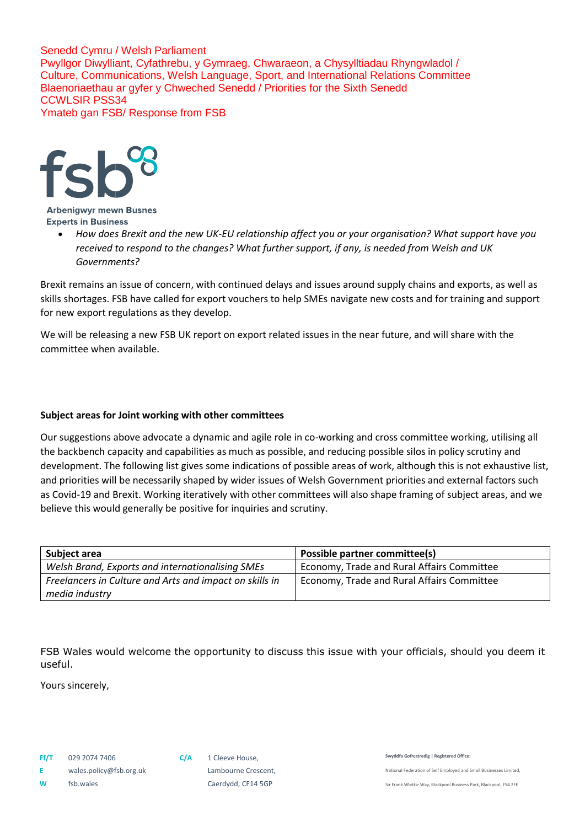

#### **Arbenigwyr mewn Busnes Experts in Business**

 *How does Brexit and the new UK-EU relationship affect you or your organisation? What support have you received to respond to the changes? What further support, if any, is needed from Welsh and UK Governments?*

Brexit remains an issue of concern, with continued delays and issues around supply chains and exports, as well as skills shortages. FSB have called for export vouchers to help SMEs navigate new costs and for training and support for new export regulations as they develop.

We will be releasing a new FSB UK report on export related issues in the near future, and will share with the committee when available.

# **Subject areas for Joint working with other committees**

Our suggestions above advocate a dynamic and agile role in co-working and cross committee working, utilising all the backbench capacity and capabilities as much as possible, and reducing possible silos in policy scrutiny and development. The following list gives some indications of possible areas of work, although this is not exhaustive list, and priorities will be necessarily shaped by wider issues of Welsh Government priorities and external factors such as Covid-19 and Brexit. Working iteratively with other committees will also shape framing of subject areas, and we believe this would generally be positive for inquiries and scrutiny.

| Subject area                                            | Possible partner committee(s)              |
|---------------------------------------------------------|--------------------------------------------|
| Welsh Brand, Exports and internationalising SMEs        | Economy, Trade and Rural Affairs Committee |
| Freelancers in Culture and Arts and impact on skills in | Economy, Trade and Rural Affairs Committee |
| media industry                                          |                                            |

FSB Wales would welcome the opportunity to discuss this issue with your officials, should you deem it useful.

Yours sincerely,

**Swyddfa Gofrestredig | Registered Office:** 

National Federation of Self Employed and Small Businesses Limited,